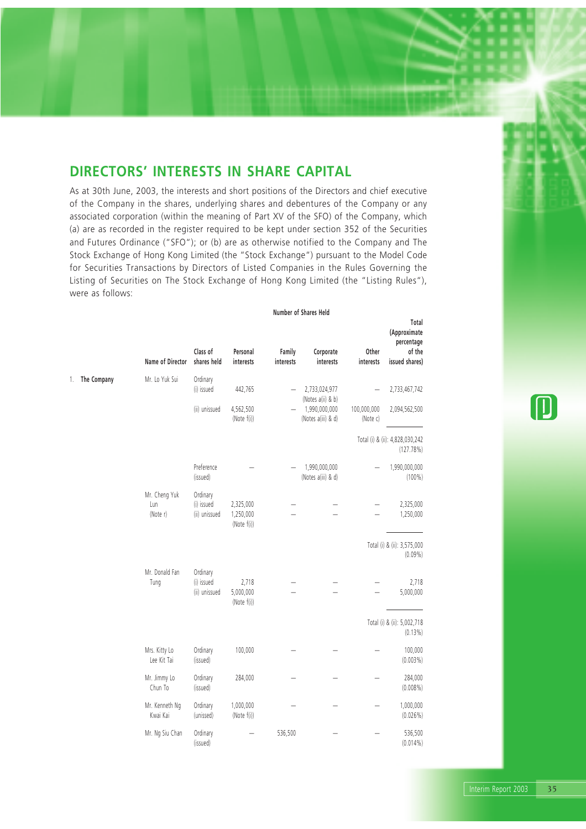## **DIRECTORS' INTERESTS IN SHARE CAPITAL**

As at 30th June, 2003, the interests and short positions of the Directors and chief executive of the Company in the shares, underlying shares and debentures of the Company or any associated corporation (within the meaning of Part XV of the SFO) of the Company, which (a) are as recorded in the register required to be kept under section 352 of the Securities and Futures Ordinance ("SFO"); or (b) are as otherwise notified to the Company and The Stock Exchange of Hong Kong Limited (the "Stock Exchange") pursuant to the Model Code for Securities Transactions by Directors of Listed Companies in the Rules Governing the Listing of Securities on The Stock Exchange of Hong Kong Limited (the "Listing Rules"), were as follows:

#### **Number of Shares Held**

**Total**

|    |             | Name of Director                 | Class of<br>shares held                 | Personal<br>interests                 | Family<br>interests | Corporate<br>interests              | Other<br>interests      | (Approximate<br>percentage<br>of the<br>issued shares) |
|----|-------------|----------------------------------|-----------------------------------------|---------------------------------------|---------------------|-------------------------------------|-------------------------|--------------------------------------------------------|
| 1. | The Company | Mr. Lo Yuk Sui                   | Ordinary<br>(i) issued                  | 442,765                               |                     | 2,733,024,977<br>(Notes a(ii) & b)  |                         | 2,733,467,742                                          |
|    |             |                                  | (ii) unissued                           | 4,562,500<br>(Note f(i))              |                     | 1,990,000,000<br>(Notes a(iii) & d) | 100,000,000<br>(Note c) | 2,094,562,500                                          |
|    |             |                                  |                                         |                                       |                     |                                     |                         | Total (i) & (ii): 4,828,030,242<br>(127.78%)           |
|    |             |                                  | Preference<br>(issued)                  |                                       |                     | 1,990,000,000<br>(Notes a(iii) & d) |                         | 1,990,000,000<br>$(100\%)$                             |
|    |             | Mr. Cheng Yuk<br>Lun<br>(Note r) | Ordinary<br>(i) issued<br>(ii) unissued | 2,325,000<br>1,250,000<br>(Note f(i)) |                     |                                     |                         | 2,325,000<br>1,250,000                                 |
|    |             |                                  |                                         |                                       |                     |                                     |                         | Total (i) & (ii): 3,575,000<br>$(0.09\%)$              |
|    |             | Mr. Donald Fan<br>Tung           | Ordinary<br>(i) issued<br>(ii) unissued | 2,718<br>5,000,000<br>(Note f(i))     |                     |                                     |                         | 2,718<br>5,000,000                                     |
|    |             |                                  |                                         |                                       |                     |                                     |                         | Total (i) & (ii): 5,002,718<br>(0.13%)                 |
|    |             | Mrs. Kitty Lo<br>Lee Kit Tai     | Ordinary<br>(issued)                    | 100,000                               |                     |                                     |                         | 100,000<br>$(0.003\%)$                                 |
|    |             | Mr. Jimmy Lo<br>Chun To          | Ordinary<br>(issued)                    | 284,000                               |                     |                                     |                         | 284,000<br>$(0.008\%)$                                 |
|    |             | Mr. Kenneth Ng<br>Kwai Kai       | Ordinary<br>(unissed)                   | 1,000,000<br>(Note f(i))              |                     |                                     |                         | 1,000,000<br>(0.026%)                                  |
|    |             | Mr. Ng Siu Chan                  | Ordinary<br>(issued)                    |                                       | 536,500             |                                     |                         | 536,500<br>$(0.014\%)$                                 |

 $\left( \right)$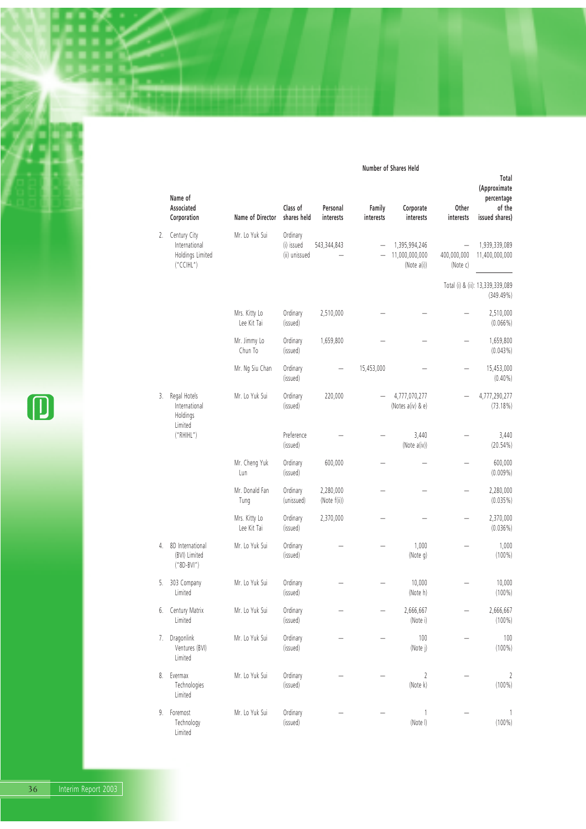#### **Number of Shares Held**

|    | Name of                                                       |                              |                                         |                           |                     |                                                |                         | Total<br>(Approximate<br>percentage           |
|----|---------------------------------------------------------------|------------------------------|-----------------------------------------|---------------------------|---------------------|------------------------------------------------|-------------------------|-----------------------------------------------|
|    | Associated<br>Corporation                                     | Name of Director             | Class of<br>shares held                 | Personal<br>interests     | Family<br>interests | Corporate<br>interests                         | Other<br>interests      | of the<br>issued shares)                      |
| 2. | Century City<br>International<br>Holdings Limited<br>("CCHL") | Mr. Lo Yuk Sui               | Ordinary<br>(i) issued<br>(ii) unissued | 543,344,843               |                     | 1,395,994,246<br>11,000,000,000<br>(Note a(i)) | 400,000,000<br>(Note c) | 1,939,339,089<br>11,400,000,000               |
|    |                                                               |                              |                                         |                           |                     |                                                |                         | Total (i) & (ii): 13,339,339,089<br>(349.49%) |
|    |                                                               | Mrs. Kitty Lo<br>Lee Kit Tai | Ordinary<br>(issued)                    | 2,510,000                 |                     |                                                |                         | 2,510,000<br>$(0.066\%)$                      |
|    |                                                               | Mr. Jimmy Lo<br>Chun To      | Ordinary<br>(issued)                    | 1,659,800                 |                     |                                                |                         | 1,659,800<br>(0.043%)                         |
|    |                                                               | Mr. Ng Siu Chan              | Ordinary<br>(issued)                    |                           | 15,453,000          |                                                |                         | 15,453,000<br>$(0.40\%)$                      |
| 3. | Regal Hotels<br>International<br>Holdings<br>Limited          | Mr. Lo Yuk Sui               | Ordinary<br>(issued)                    | 220,000                   |                     | 4,777,070,277<br>(Notes a(iv) & e)             |                         | 4,777,290,277<br>$(73.18\%)$                  |
|    | ("RHHL")                                                      |                              | Preference<br>(issued)                  |                           |                     | 3,440<br>(Note a(iv))                          |                         | 3,440<br>$(20.54\%)$                          |
|    |                                                               | Mr. Cheng Yuk<br>Lun         | Ordinary<br>(issued)                    | 600,000                   |                     |                                                |                         | 600,000<br>$(0.009\%)$                        |
|    |                                                               | Mr. Donald Fan<br>Tung       | Ordinary<br>(unissued)                  | 2,280,000<br>(Note f(ii)) |                     |                                                |                         | 2,280,000<br>$(0.035\%)$                      |
|    |                                                               | Mrs. Kitty Lo<br>Lee Kit Tai | Ordinary<br>(issued)                    | 2,370,000                 |                     |                                                |                         | 2,370,000<br>$(0.036\%)$                      |
| 4. | 8D International<br>(BVI) Limited<br>$("8D-BVI")$             | Mr. Lo Yuk Sui               | Ordinary<br>(issued)                    |                           |                     | 1,000<br>(Note g)                              |                         | 1,000<br>$(100\%)$                            |
| 5. | 303 Company<br>Limited                                        | Mr. Lo Yuk Sui               | Ordinary<br>(issued)                    |                           |                     | 10,000<br>(Note h)                             |                         | 10,000<br>$(100\%)$                           |
| 6. | Century Matrix<br>Limited                                     | Mr. Lo Yuk Sui               | Ordinary<br>(issued)                    |                           |                     | 2,666,667<br>(Note i)                          |                         | 2,666,667<br>$(100\%)$                        |
| 7. | Dragonlink<br>Ventures (BVI)<br>Limited                       | Mr. Lo Yuk Sui               | Ordinary<br>(issued)                    |                           |                     | 100<br>(Note j)                                |                         | 100<br>$(100\%)$                              |
| 8. | Evermax<br>Technologies<br>Limited                            | Mr. Lo Yuk Sui               | Ordinary<br>(issued)                    |                           |                     | 2<br>(Note k)                                  |                         | 2<br>$(100\%)$                                |
| 9. | Foremost<br>Technology<br>Limited                             | Mr. Lo Yuk Sui               | Ordinary<br>(issued)                    |                           |                     | 1<br>(Note I)                                  |                         | 1<br>$(100\%)$                                |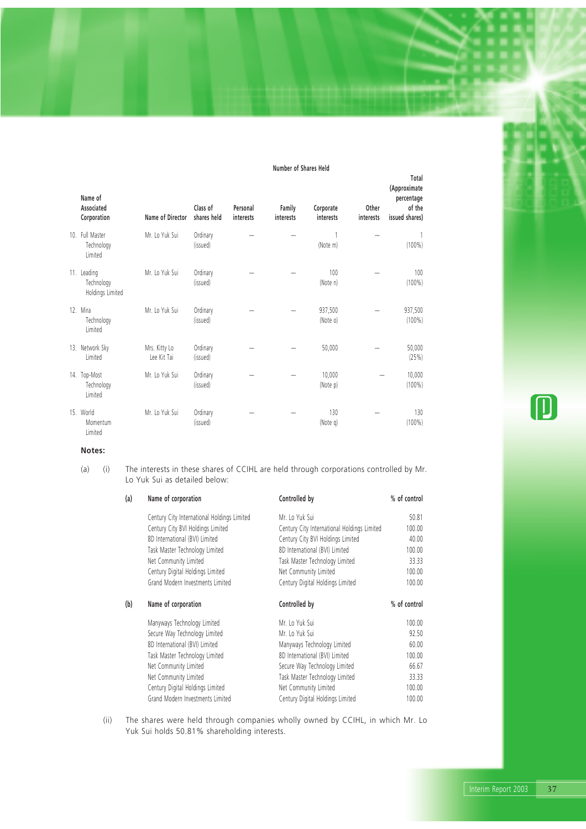#### **Number of Shares Held**

| Name of<br>Associated<br>Corporation          | Name of Director             | Class of<br>shares held | Personal<br>interests | Family<br>interests | Corporate<br>interests | Other<br>interests | Total<br>(Approximate<br>percentage<br>of the<br>issued shares) |
|-----------------------------------------------|------------------------------|-------------------------|-----------------------|---------------------|------------------------|--------------------|-----------------------------------------------------------------|
| 10. Full Master<br>Technology<br>Limited      | Mr. Lo Yuk Sui               | Ordinary<br>(issued)    |                       |                     | (Note m)               |                    | $(100\%)$                                                       |
| 11. Leading<br>Technology<br>Holdings Limited | Mr. Lo Yuk Sui               | Ordinary<br>(issued)    |                       |                     | 100<br>(Note n)        |                    | 100<br>$(100\%)$                                                |
| 12. Mira<br>Technology<br>Limited             | Mr. Lo Yuk Sui               | Ordinary<br>(issued)    |                       |                     | 937,500<br>(Note o)    |                    | 937,500<br>$(100\%)$                                            |
| 13. Network Sky<br>Limited                    | Mrs. Kitty Lo<br>Lee Kit Tai | Ordinary<br>(issued)    |                       |                     | 50,000                 |                    | 50,000<br>(25%)                                                 |
| 14. Top-Most<br>Technology<br>Limited         | Mr. Lo Yuk Sui               | Ordinary<br>(issued)    |                       |                     | 10,000<br>(Note p)     |                    | 10,000<br>$(100\%)$                                             |
| 15. World<br>Momentum<br>Limited              | Mr. Lo Yuk Sui               | Ordinary<br>(issued)    |                       |                     | 130<br>(Note q)        |                    | 130<br>$(100\%)$                                                |

**Notes:**

(a) (i) The interests in these shares of CCIHL are held through corporations controlled by Mr. Lo Yuk Sui as detailed below:

| (a) | Name of corporation                         | Controlled by                               | % of control |
|-----|---------------------------------------------|---------------------------------------------|--------------|
|     | Century City International Holdings Limited | Mr. Lo Yuk Sui                              | 50.81        |
|     | Century City BVI Holdings Limited           | Century City International Holdings Limited | 100.00       |
|     | 8D International (BVI) Limited              | Century City BVI Holdings Limited           | 40.00        |
|     | Task Master Technology Limited              | 8D International (BVI) Limited              | 100.00       |
|     | Net Community Limited                       | Task Master Technology Limited              | 33.33        |
|     | Century Digital Holdings Limited            | Net Community Limited                       | 100.00       |
|     | Grand Modern Investments Limited            | Century Digital Holdings Limited            | 100.00       |
| (b) | Name of corporation                         | Controlled by                               | % of control |
|     |                                             |                                             |              |
|     | Manyways Technology Limited                 | Mr. Lo Yuk Sui                              | 100.00       |
|     | Secure Way Technology Limited               | Mr. Lo Yuk Sui                              | 92.50        |
|     | 8D International (BVI) Limited              | Manyways Technology Limited                 | 60.00        |
|     | Task Master Technology Limited              | 8D International (BVI) Limited              | 100.00       |
|     | Net Community Limited                       | Secure Way Technology Limited               | 66.67        |
|     | Net Community Limited                       | Task Master Technology Limited              | 33.33        |
|     | Century Digital Holdings Limited            | Net Community Limited                       | 100.00       |

(ii) The shares were held through companies wholly owned by CCIHL, in which Mr. Lo Yuk Sui holds 50.81% shareholding interests.

(D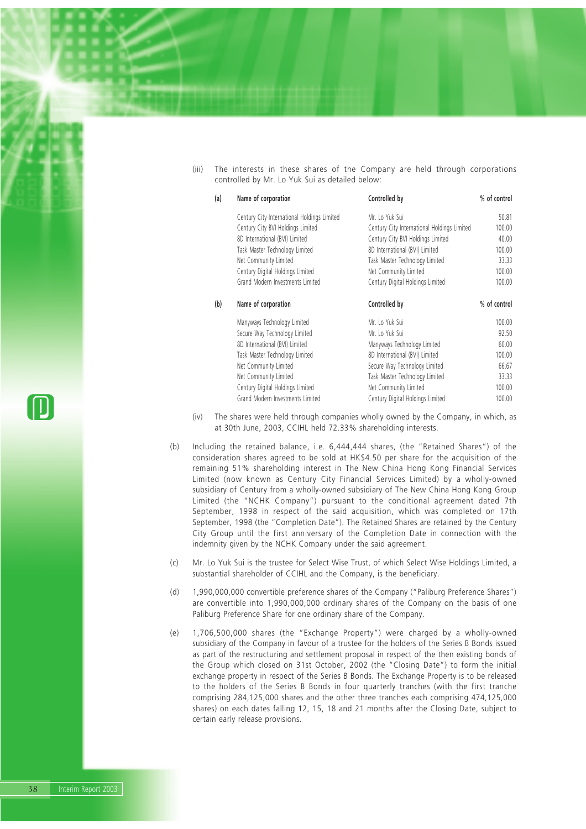(iii) The interests in these shares of the Company are held through corporations controlled by Mr. Lo Yuk Sui as detailed below:

| (a) | Name of corporation                         | Controlled by                               | % of control |
|-----|---------------------------------------------|---------------------------------------------|--------------|
|     | Century City International Holdings Limited | Mr. Lo Yuk Sui                              | 50.81        |
|     | Century City BVI Holdings Limited           | Century City International Holdings Limited | 100.00       |
|     | 8D International (BVI) Limited              | Century City BVI Holdings Limited           | 40.00        |
|     | Task Master Technology Limited              | 8D International (BVI) Limited              | 100.00       |
|     | Net Community Limited                       | Task Master Technology Limited              | 33.33        |
|     | Century Digital Holdings Limited            | Net Community Limited                       | 100.00       |
|     | Grand Modern Investments Limited            | Century Digital Holdings Limited            | 100.00       |
| (b) | Name of corporation                         | Controlled by                               | % of control |
|     | Manyways Technology Limited                 | Mr. Lo Yuk Sui                              | 100.00       |
|     | Secure Way Technology Limited               | Mr. Lo Yuk Sui                              | 92.50        |
|     | 8D International (BVI) Limited              | Manyways Technology Limited                 | 60.00        |
|     | Task Master Technology Limited              | 8D International (BVI) Limited              | 100.00       |
|     | Net Community Limited                       | Secure Way Technology Limited               | 66.67        |
|     | Net Community Limited                       | Task Master Technology Limited              | 33.33        |
|     | Century Digital Holdings Limited            | Net Community Limited                       | 100.00       |
|     | Grand Modern Investments Limited            | Century Digital Holdings Limited            | 100.00       |

- (iv) The shares were held through companies wholly owned by the Company, in which, as at 30th June, 2003, CCIHL held 72.33% shareholding interests.
- (b) Including the retained balance, i.e. 6,444,444 shares, (the "Retained Shares") of the consideration shares agreed to be sold at HK\$4.50 per share for the acquisition of the remaining 51% shareholding interest in The New China Hong Kong Financial Services Limited (now known as Century City Financial Services Limited) by a wholly-owned subsidiary of Century from a wholly-owned subsidiary of The New China Hong Kong Group Limited (the "NCHK Company") pursuant to the conditional agreement dated 7th September, 1998 in respect of the said acquisition, which was completed on 17th September, 1998 (the "Completion Date"). The Retained Shares are retained by the Century City Group until the first anniversary of the Completion Date in connection with the indemnity given by the NCHK Company under the said agreement.
- (c) Mr. Lo Yuk Sui is the trustee for Select Wise Trust, of which Select Wise Holdings Limited, a substantial shareholder of CCIHL and the Company, is the beneficiary.
- (d) 1,990,000,000 convertible preference shares of the Company ("Paliburg Preference Shares") are convertible into 1,990,000,000 ordinary shares of the Company on the basis of one Paliburg Preference Share for one ordinary share of the Company.
- (e) 1,706,500,000 shares (the "Exchange Property") were charged by a wholly-owned subsidiary of the Company in favour of a trustee for the holders of the Series B Bonds issued as part of the restructuring and settlement proposal in respect of the then existing bonds of the Group which closed on 31st October, 2002 (the "Closing Date") to form the initial exchange property in respect of the Series B Bonds. The Exchange Property is to be released to the holders of the Series B Bonds in four quarterly tranches (with the first tranche comprising 284,125,000 shares and the other three tranches each comprising 474,125,000 shares) on each dates falling 12, 15, 18 and 21 months after the Closing Date, subject to certain early release provisions.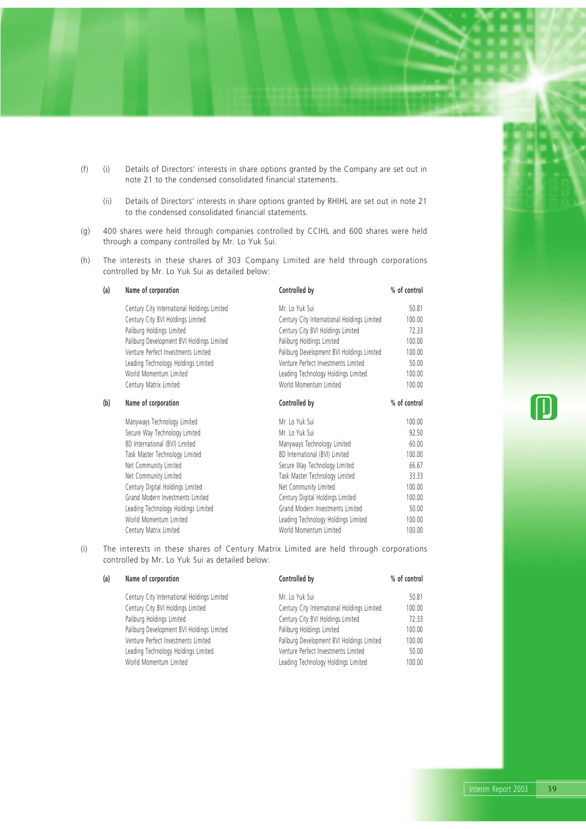- (f) (i) Details of Directors' interests in share options granted by the Company are set out in note 21 to the condensed consolidated financial statements.
	- (ii) Details of Directors' interests in share options granted by RHIHL are set out in note 21 to the condensed consolidated financial statements.
- (g) 400 shares were held through companies controlled by CCIHL and 600 shares were held through a company controlled by Mr. Lo Yuk Sui.
- (h) The interests in these shares of 303 Company Limited are held through corporations controlled by Mr. Lo Yuk Sui as detailed below:

| (a) | Name of corporation                         | Controlled by                               | % of control |  |
|-----|---------------------------------------------|---------------------------------------------|--------------|--|
|     | Century City International Holdings Limited | Mr. Lo Yuk Sui                              | 50.81        |  |
|     | Century City BVI Holdings Limited           | Century City International Holdings Limited | 100.00       |  |
|     | Paliburg Holdings Limited                   | Century City BVI Holdings Limited           | 72.33        |  |
|     | Paliburg Development BVI Holdings Limited   | Paliburg Holdings Limited                   | 100.00       |  |
|     | Venture Perfect Investments Limited         | Paliburg Development BVI Holdings Limited   | 100.00       |  |
|     | Leading Technology Holdings Limited         | Venture Perfect Investments Limited         | 50.00        |  |
|     | World Momentum Limited                      | Leading Technology Holdings Limited         | 100.00       |  |
|     | Century Matrix Limited                      | World Momentum Limited                      | 100.00       |  |
| (b) | Name of corporation                         | Controlled by                               | % of control |  |
|     | Manyways Technology Limited                 | Mr. Lo Yuk Sui                              | 100.00       |  |
|     | Secure Way Technology Limited               | Mr. Lo Yuk Sui                              | 92.50        |  |
|     | 8D International (BVI) Limited              | Manyways Technology Limited                 | 60.00        |  |
|     | Task Master Technology Limited              | 8D International (BVI) Limited              | 100.00       |  |
|     | Net Community Limited                       | Secure Way Technology Limited               | 66.67        |  |
|     | Net Community Limited                       | Task Master Technology Limited              | 33.33        |  |
|     | Century Digital Holdings Limited            | Net Community Limited                       | 100.00       |  |
|     | Grand Modern Investments Limited            | Century Digital Holdings Limited            | 100.00       |  |
|     | Leading Technology Holdings Limited         | Grand Modern Investments Limited            | 50.00        |  |
|     | World Momentum Limited                      | Leading Technology Holdings Limited         | 100.00       |  |
|     | Century Matrix Limited                      | World Momentum Limited                      | 100.00       |  |
|     |                                             |                                             |              |  |

(i) The interests in these shares of Century Matrix Limited are held through corporations controlled by Mr. Lo Yuk Sui as detailed below:

| (a) | Name of corporation                         | Controlled by                               | % of control |
|-----|---------------------------------------------|---------------------------------------------|--------------|
|     | Century City International Holdings Limited | Mr. Lo Yuk Sui                              | 50.81        |
|     | Century City BVI Holdings Limited           | Century City International Holdings Limited | 100.00       |
|     | Paliburg Holdings Limited                   | Century City BVI Holdings Limited           | 72.33        |
|     | Paliburg Development BVI Holdings Limited   | Paliburg Holdings Limited                   | 100.00       |
|     | Venture Perfect Investments Limited         | Paliburg Development BVI Holdings Limited   | 100.00       |
|     | Leading Technology Holdings Limited         | Venture Perfect Investments Limited         | 50.00        |
|     | World Momentum Limited                      | Leading Technology Holdings Limited         | 100.00       |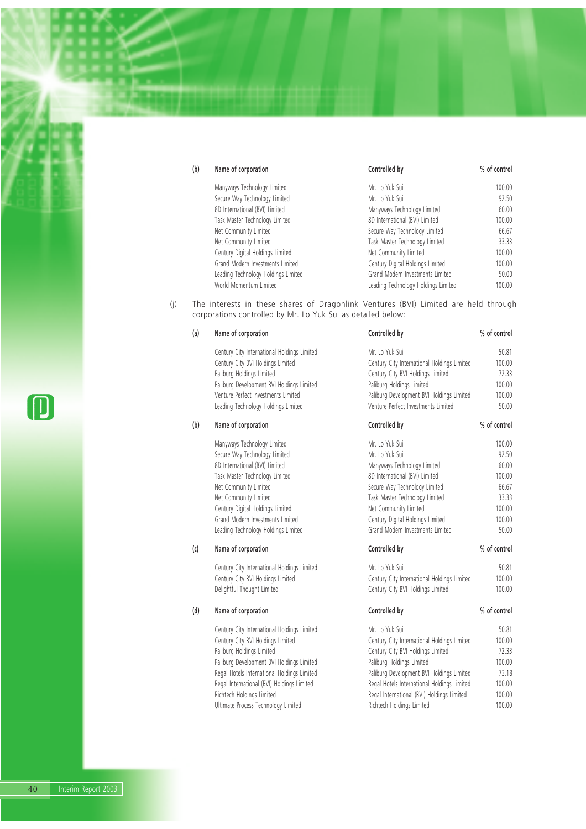| (b) | Name of corporation                 | Controlled by                       | % of control |
|-----|-------------------------------------|-------------------------------------|--------------|
|     | Manyways Technology Limited         | Mr. Lo Yuk Sui                      | 100.00       |
|     | Secure Way Technology Limited       | Mr. Lo Yuk Sui                      | 92.50        |
|     | 8D International (BVI) Limited      | Manyways Technology Limited         | 60.00        |
|     | Task Master Technology Limited      | 8D International (BVI) Limited      | 100.00       |
|     | Net Community Limited               | Secure Way Technology Limited       | 66.67        |
|     | Net Community Limited               | Task Master Technology Limited      | 33.33        |
|     | Century Digital Holdings Limited    | Net Community Limited               | 100.00       |
|     | Grand Modern Investments Limited    | Century Digital Holdings Limited    | 100.00       |
|     | Leading Technology Holdings Limited | Grand Modern Investments Limited    | 50.00        |
|     | World Momentum Limited              | Leading Technology Holdings Limited | 100.00       |

(j) The interests in these shares of Dragonlink Ventures (BVI) Limited are held through corporations controlled by Mr. Lo Yuk Sui as detailed below:

| (a) | Name of corporation                         | Controlled by                               | % of control |
|-----|---------------------------------------------|---------------------------------------------|--------------|
|     | Century City International Holdings Limited | Mr. Lo Yuk Sui                              | 50.81        |
|     | Century City BVI Holdings Limited           | Century City International Holdings Limited | 100.00       |
|     | Paliburg Holdings Limited                   | Century City BVI Holdings Limited           | 72.33        |
|     | Paliburg Development BVI Holdings Limited   | Paliburg Holdings Limited                   | 100.00       |
|     | Venture Perfect Investments Limited         | Paliburg Development BVI Holdings Limited   | 100.00       |
|     | Leading Technology Holdings Limited         | Venture Perfect Investments Limited         | 50.00        |
| (b) | Name of corporation                         | Controlled by                               | % of control |
|     | Manyways Technology Limited                 | Mr. Lo Yuk Sui                              | 100.00       |
|     | Secure Way Technology Limited               | Mr. Lo Yuk Sui                              | 92.50        |
|     | 8D International (BVI) Limited              | Manyways Technology Limited                 | 60.00        |
|     | Task Master Technology Limited              | 8D International (BVI) Limited              | 100.00       |
|     | Net Community Limited                       | Secure Way Technology Limited               | 66.67        |
|     | Net Community Limited                       | Task Master Technology Limited              | 33.33        |
|     | Century Digital Holdings Limited            | Net Community Limited                       | 100.00       |
|     | Grand Modern Investments Limited            | Century Digital Holdings Limited            | 100.00       |
|     | Leading Technology Holdings Limited         | Grand Modern Investments Limited            | 50.00        |
| (c) | Name of corporation                         | Controlled by                               | % of control |
|     | Century City International Holdings Limited | Mr. Lo Yuk Sui                              | 50.81        |
|     | Century City BVI Holdings Limited           | Century City International Holdings Limited | 100.00       |
|     | Delightful Thought Limited                  | Century City BVI Holdings Limited           | 100.00       |
| (d) | Name of corporation                         | Controlled by                               | % of control |
|     | Century City International Holdings Limited | Mr. Lo Yuk Sui                              | 50.81        |
|     | Century City BVI Holdings Limited           | Century City International Holdings Limited | 100.00       |
|     | Paliburg Holdings Limited                   | Century City BVI Holdings Limited           | 72.33        |
|     | Paliburg Development BVI Holdings Limited   | Paliburg Holdings Limited                   | 100.00       |
|     | Regal Hotels International Holdings Limited | Paliburg Development BVI Holdings Limited   | 73.18        |
|     | Regal International (BVI) Holdings Limited  | Regal Hotels International Holdings Limited | 100.00       |

Richtech Holdings Limited **Regal International (BVI) Holdings Limited** 100.00 Ultimate Process Technology Limited **Richtech Holdings Limited** 100.00

 $\textcolor{red}{\blacksquare}$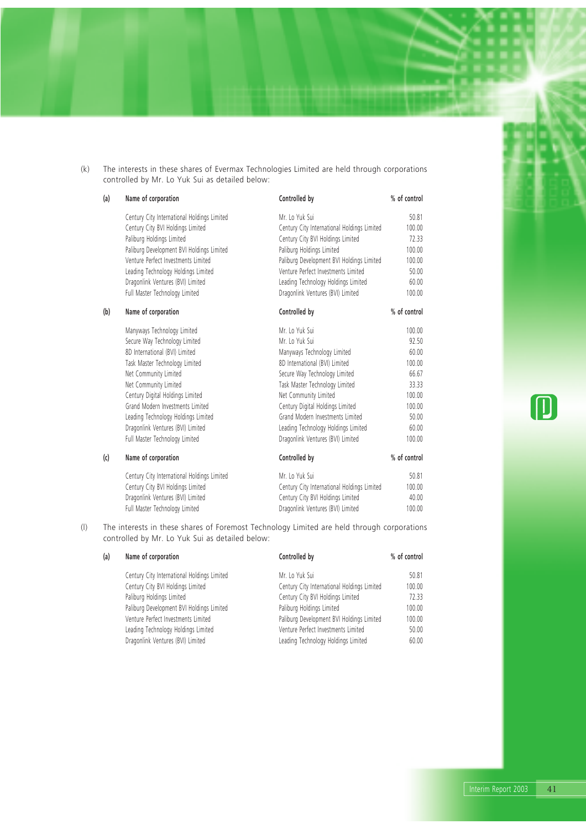(k) The interests in these shares of Evermax Technologies Limited are held through corporations controlled by Mr. Lo Yuk Sui as detailed below:

| (a) | Name of corporation                         | Controlled by                               | % of control |
|-----|---------------------------------------------|---------------------------------------------|--------------|
|     | Century City International Holdings Limited | Mr. Lo Yuk Sui                              | 50.81        |
|     | Century City BVI Holdings Limited           | Century City International Holdings Limited | 100.00       |
|     | Paliburg Holdings Limited                   | Century City BVI Holdings Limited           | 72.33        |
|     | Paliburg Development BVI Holdings Limited   | Paliburg Holdings Limited                   | 100.00       |
|     | Venture Perfect Investments Limited         | Paliburg Development BVI Holdings Limited   | 100.00       |
|     | Leading Technology Holdings Limited         | Venture Perfect Investments Limited         | 50.00        |
|     | Dragonlink Ventures (BVI) Limited           | Leading Technology Holdings Limited         | 60.00        |
|     | Full Master Technology Limited              | Dragonlink Ventures (BVI) Limited           | 100.00       |
| (b) | Name of corporation                         | Controlled by                               | % of control |
|     | Manyways Technology Limited                 | Mr. Lo Yuk Sui                              | 100.00       |
|     | Secure Way Technology Limited               | Mr. Lo Yuk Sui                              | 92.50        |
|     | 8D International (BVI) Limited              | Manyways Technology Limited                 | 60.00        |
|     | Task Master Technology Limited              | 8D International (BVI) Limited              | 100.00       |
|     | Net Community Limited                       | Secure Way Technology Limited               | 66.67        |
|     | Net Community Limited                       | Task Master Technology Limited              | 33.33        |
|     | Century Digital Holdings Limited            | Net Community Limited                       | 100.00       |
|     | Grand Modern Investments Limited            | Century Digital Holdings Limited            | 100.00       |
|     | Leading Technology Holdings Limited         | Grand Modern Investments Limited            | 50.00        |
|     | Dragonlink Ventures (BVI) Limited           | Leading Technology Holdings Limited         | 60.00        |
|     | Full Master Technology Limited              | Dragonlink Ventures (BVI) Limited           | 100.00       |
| (c) | Name of corporation                         | Controlled by                               | % of control |
|     | Century City International Holdings Limited | Mr. Lo Yuk Sui                              | 50.81        |
|     | Century City BVI Holdings Limited           | Century City International Holdings Limited | 100.00       |
|     | Dragonlink Ventures (BVI) Limited           | Century City BVI Holdings Limited           | 40.00        |
|     | Full Master Technology Limited              | Dragonlink Ventures (BVI) Limited           | 100.00       |

(l) The interests in these shares of Foremost Technology Limited are held through corporations controlled by Mr. Lo Yuk Sui as detailed below:

| (a) | Name of corporation                         | Controlled by                               | % of control |  |
|-----|---------------------------------------------|---------------------------------------------|--------------|--|
|     | Century City International Holdings Limited | Mr. Lo Yuk Sui                              | 50.81        |  |
|     | Century City BVI Holdings Limited           | Century City International Holdings Limited | 100.00       |  |
|     | Paliburg Holdings Limited                   | Century City BVI Holdings Limited           | 72.33        |  |
|     | Paliburg Development BVI Holdings Limited   | Paliburg Holdings Limited                   | 100.00       |  |
|     | Venture Perfect Investments Limited         | Paliburg Development BVI Holdings Limited   | 100.00       |  |
|     | Leading Technology Holdings Limited         | Venture Perfect Investments Limited         | 50.00        |  |
|     | Dragonlink Ventures (BVI) Limited           | Leading Technology Holdings Limited         | 60.00        |  |
|     |                                             |                                             |              |  |

 $\textcolor{red}{\blacksquare}$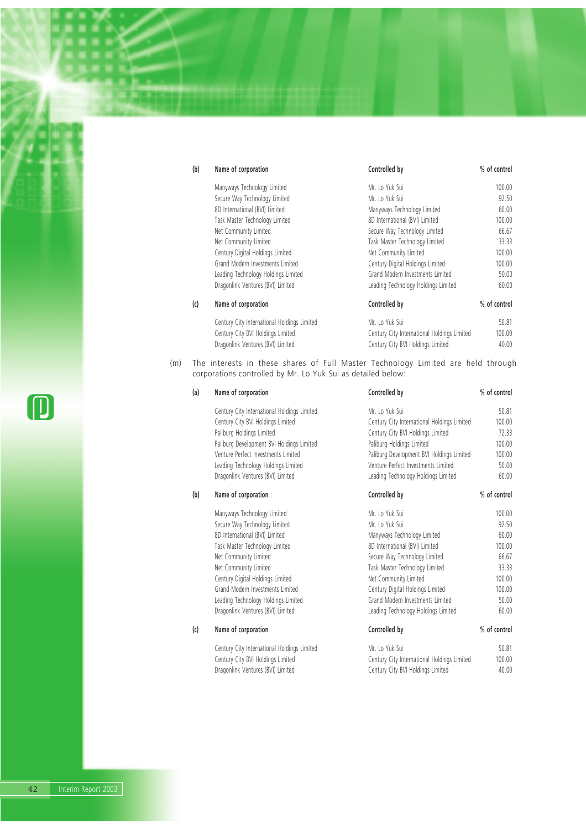| (b) | Name of corporation                         | Controlled by                               | % of control |
|-----|---------------------------------------------|---------------------------------------------|--------------|
|     | Manyways Technology Limited                 | Mr. Lo Yuk Sui                              | 100.00       |
|     | Secure Way Technology Limited               | Mr. Lo Yuk Sui                              | 92.50        |
|     | 8D International (BVI) Limited              | Manyways Technology Limited                 | 60.00        |
|     | Task Master Technology Limited              | 8D International (BVI) Limited              | 100.00       |
|     | Net Community Limited                       | Secure Way Technology Limited               | 66.67        |
|     | Net Community Limited                       | Task Master Technology Limited              | 33.33        |
|     | Century Digital Holdings Limited            | Net Community Limited                       | 100.00       |
|     | Grand Modern Investments Limited            | Century Digital Holdings Limited            | 100.00       |
|     | Leading Technology Holdings Limited         | Grand Modern Investments Limited            | 50.00        |
|     | Dragonlink Ventures (BVI) Limited           | Leading Technology Holdings Limited         | 60.00        |
| (c) | Name of corporation                         | Controlled by                               | % of control |
|     | Century City International Holdings Limited | Mr. Lo Yuk Sui                              | 50.81        |
|     | Century City BVI Holdings Limited           | Century City International Holdings Limited | 100.00       |
|     | Dragonlink Ventures (BVI) Limited           | Century City BVI Holdings Limited           | 40.00        |

(m) The interests in these shares of Full Master Technology Limited are held through corporations controlled by Mr. Lo Yuk Sui as detailed below:

| Name of corporation                         | Controlled by                               | % of control |
|---------------------------------------------|---------------------------------------------|--------------|
| Century City International Holdings Limited | Mr. Lo Yuk Sui                              | 50.81        |
| Century City BVI Holdings Limited           | Century City International Holdings Limited | 100.00       |
| Paliburg Holdings Limited                   | Century City BVI Holdings Limited           | 72.33        |
| Paliburg Development BVI Holdings Limited   | Paliburg Holdings Limited                   | 100.00       |
| Venture Perfect Investments Limited         | Paliburg Development BVI Holdings Limited   | 100.00       |
| Leading Technology Holdings Limited         | Venture Perfect Investments Limited         | 50.00        |
| Dragonlink Ventures (BVI) Limited           | Leading Technology Holdings Limited         | 60.00        |
| Name of corporation                         | Controlled by                               | % of control |
| Manyways Technology Limited                 | Mr. Lo Yuk Sui                              | 100.00       |
| Secure Way Technology Limited               | Mr To Yuk Sui                               | 92.50        |
| 8D International (BVI) Limited              | Manyways Technology Limited                 | 60.00        |
| Task Master Technology Limited              | 8D International (BVI) Limited              | 100.00       |
| Net Community Limited                       | Secure Way Technology Limited               | 66.67        |
| Net Community Limited                       | Task Master Technology Limited              | 33.33        |
| Century Digital Holdings Limited            | Net Community Limited                       | 100.00       |
| Grand Modern Investments Limited            | Century Digital Holdings Limited            | 100.00       |
| Leading Technology Holdings Limited         | Grand Modern Investments Limited            | 50.00        |
| Dragonlink Ventures (BVI) Limited           | Leading Technology Holdings Limited         | 60.00        |
| Name of corporation                         | Controlled by                               | % of control |
| Century City International Holdings Limited | Mr. Lo Yuk Sui                              | 50.81        |
| Century City BVI Holdings Limited           | Century City International Holdings Limited | 100.00       |
| Dragonlink Ventures (BVI) Limited           | Century City BVI Holdings Limited           | 40.00        |
|                                             |                                             |              |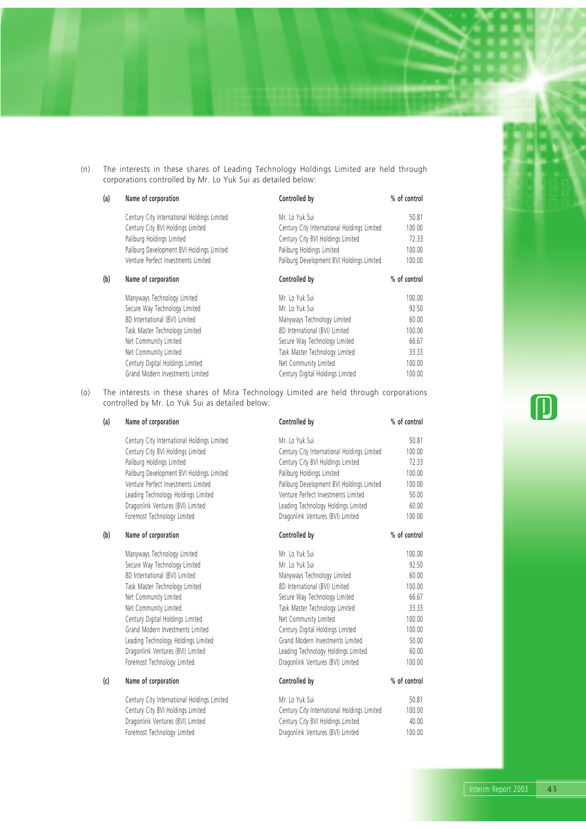(n) The interests in these shares of Leading Technology Holdings Limited are held through corporations controlled by Mr. Lo Yuk Sui as detailed below:

| (a) | Name of corporation                         | Controlled by                               | % of control |
|-----|---------------------------------------------|---------------------------------------------|--------------|
|     | Century City International Holdings Limited | Mr. Lo Yuk Sui                              | 50.81        |
|     | Century City BVI Holdings Limited           | Century City International Holdings Limited | 100.00       |
|     | Paliburg Holdings Limited                   | Century City BVI Holdings Limited           | 72.33        |
|     | Paliburg Development BVI Holdings Limited   | Paliburg Holdings Limited                   | 100.00       |
|     | Venture Perfect Investments Limited         | Paliburg Development BVI Holdings Limited   | 100.00       |
| (b) | Name of corporation                         | Controlled by                               | % of control |
|     | Manyways Technology Limited                 | Mr. Lo Yuk Sui                              | 100.00       |
|     | Secure Way Technology Limited               | Mr. Lo Yuk Sui                              | 92.50        |
|     | 8D International (BVI) Limited              | Manyways Technology Limited                 | 60.00        |
|     | Task Master Technology Limited              | 8D International (BVI) Limited              | 100.00       |
|     | Net Community Limited                       | Secure Way Technology Limited               | 66.67        |
|     | Net Community Limited                       | Task Master Technology Limited              | 33.33        |
|     | Century Digital Holdings Limited            | Net Community Limited                       | 100.00       |
|     | Grand Modern Investments Limited            | Century Digital Holdings Limited            | 100.00       |

(o) The interests in these shares of Mira Technology Limited are held through corporations controlled by Mr. Lo Yuk Sui as detailed below:

| (a) | Name of corporation                         | Controlled by                               | % of control |
|-----|---------------------------------------------|---------------------------------------------|--------------|
|     | Century City International Holdings Limited | Mr. Lo Yuk Sui                              | 50.81        |
|     | Century City BVI Holdings Limited           | Century City International Holdings Limited | 100.00       |
|     | Paliburg Holdings Limited                   | Century City BVI Holdings Limited           | 72.33        |
|     | Paliburg Development BVI Holdings Limited   | Paliburg Holdings Limited                   | 100.00       |
|     | Venture Perfect Investments Limited         | Paliburg Development BVI Holdings Limited   | 100.00       |
|     | Leading Technology Holdings Limited         | Venture Perfect Investments Limited         | 50.00        |
|     | Dragonlink Ventures (BVI) Limited           | Leading Technology Holdings Limited         | 60.00        |
|     | Foremost Technology Limited                 | Dragonlink Ventures (BVI) Limited           | 100.00       |
| (b) | Name of corporation                         | Controlled by                               | % of control |
|     | Manyways Technology Limited                 | Mr. Lo Yuk Sui                              | 100.00       |
|     | Secure Way Technology Limited               | Mr. Lo Yuk Sui                              | 92.50        |
|     | 8D International (BVI) Limited              | Manyways Technology Limited                 | 60.00        |
|     | Task Master Technology Limited              | 8D International (BVI) Limited              | 100.00       |
|     | Net Community Limited                       | Secure Way Technology Limited               | 66.67        |
|     | Net Community Limited                       | Task Master Technology Limited              | 33.33        |
|     | Century Digital Holdings Limited            | Net Community Limited                       | 100.00       |
|     | Grand Modern Investments Limited            | Century Digital Holdings Limited            | 100.00       |
|     | Leading Technology Holdings Limited         | Grand Modern Investments Limited            | 50.00        |
|     | Dragonlink Ventures (BVI) Limited           | Leading Technology Holdings Limited         | 60.00        |
|     | Foremost Technology Limited                 | Dragonlink Ventures (BVI) Limited           | 100.00       |
| (c) | Name of corporation                         | Controlled by                               | % of control |
|     | Century City International Holdings Limited | Mr. Lo Yuk Sui                              | 50.81        |
|     | Century City BVI Holdings Limited           | Century City International Holdings Limited | 100.00       |
|     | Dragonlink Ventures (BVI) Limited           | Century City BVI Holdings Limited           | 40.00        |
|     | Foremost Technology Limited                 | Dragonlink Ventures (BVI) Limited           | 100.00       |
|     |                                             |                                             |              |

 $\textcolor{red}{\blacksquare}$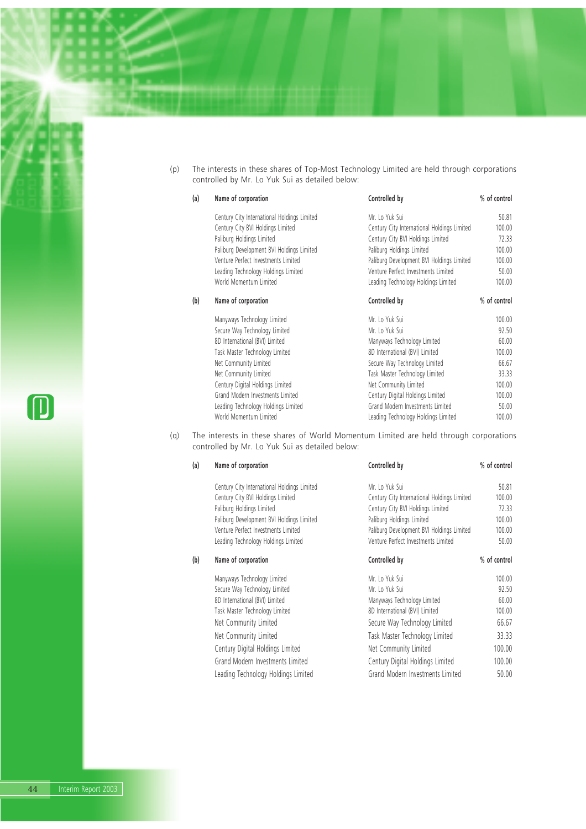(p) The interests in these shares of Top-Most Technology Limited are held through corporations controlled by Mr. Lo Yuk Sui as detailed below:

| (a) | Name of corporation                         | Controlled by                               | % of control |
|-----|---------------------------------------------|---------------------------------------------|--------------|
|     | Century City International Holdings Limited | Mr. Lo Yuk Sui                              | 50.81        |
|     | Century City BVI Holdings Limited           | Century City International Holdings Limited | 100.00       |
|     | Paliburg Holdings Limited                   | Century City BVI Holdings Limited           | 72.33        |
|     | Paliburg Development BVI Holdings Limited   | Paliburg Holdings Limited                   | 100.00       |
|     | Venture Perfect Investments Limited         | Paliburg Development BVI Holdings Limited   | 100.00       |
|     | Leading Technology Holdings Limited         | Venture Perfect Investments Limited         | 50.00        |
|     | World Momentum Limited                      | Leading Technology Holdings Limited         | 100.00       |
| (b) | Name of corporation                         | Controlled by                               | % of control |
|     | Manyways Technology Limited                 | Mr. Lo Yuk Sui                              | 100.00       |
|     | Secure Way Technology Limited               | Mr. Lo Yuk Sui                              | 92.50        |
|     | 8D International (BVI) Limited              | Manyways Technology Limited                 | 60.00        |
|     | Task Master Technology Limited              | 8D International (BVI) Limited              | 100.00       |
|     | Net Community Limited                       | Secure Way Technology Limited               | 66.67        |
|     | Net Community Limited                       | Task Master Technology Limited              | 33.33        |
|     | Century Digital Holdings Limited            | Net Community Limited                       | 100.00       |
|     | Grand Modern Investments Limited            | Century Digital Holdings Limited            | 100.00       |
|     | Leading Technology Holdings Limited         | Grand Modern Investments Limited            | 50.00        |
|     | World Momentum Limited                      | Leading Technology Holdings Limited         | 100.00       |

(q) The interests in these shares of World Momentum Limited are held through corporations controlled by Mr. Lo Yuk Sui as detailed below:

| (a) | Name of corporation                         | Controlled by                               | % of control |
|-----|---------------------------------------------|---------------------------------------------|--------------|
|     | Century City International Holdings Limited | Mr. Lo Yuk Sui                              | 50.81        |
|     | Century City BVI Holdings Limited           | Century City International Holdings Limited | 100.00       |
|     | Paliburg Holdings Limited                   | Century City BVI Holdings Limited           | 72.33        |
|     | Paliburg Development BVI Holdings Limited   | Paliburg Holdings Limited                   | 100.00       |
|     | Venture Perfect Investments Limited         | Paliburg Development BVI Holdings Limited   | 100.00       |
|     | Leading Technology Holdings Limited         | Venture Perfect Investments Limited         | 50.00        |
| (b) | Name of corporation                         | Controlled by                               | % of control |
|     | Manyways Technology Limited                 | Mr. Lo Yuk Sui                              | 100.00       |
|     | Secure Way Technology Limited               | Mr. Lo Yuk Sui                              | 92.50        |
|     | 8D International (BVI) Limited              | Manyways Technology Limited                 | 60.00        |
|     | Task Master Technology Limited              | 8D International (BVI) Limited              | 100.00       |
|     | Net Community Limited                       | Secure Way Technology Limited               | 66.67        |
|     | Net Community Limited                       | Task Master Technology Limited              | 33.33        |
|     | Century Digital Holdings Limited            | Net Community Limited                       | 100.00       |
|     | Grand Modern Investments Limited            | Century Digital Holdings Limited            | 100.00       |
|     | Leading Technology Holdings Limited         | Grand Modern Investments Limited            | 50.00        |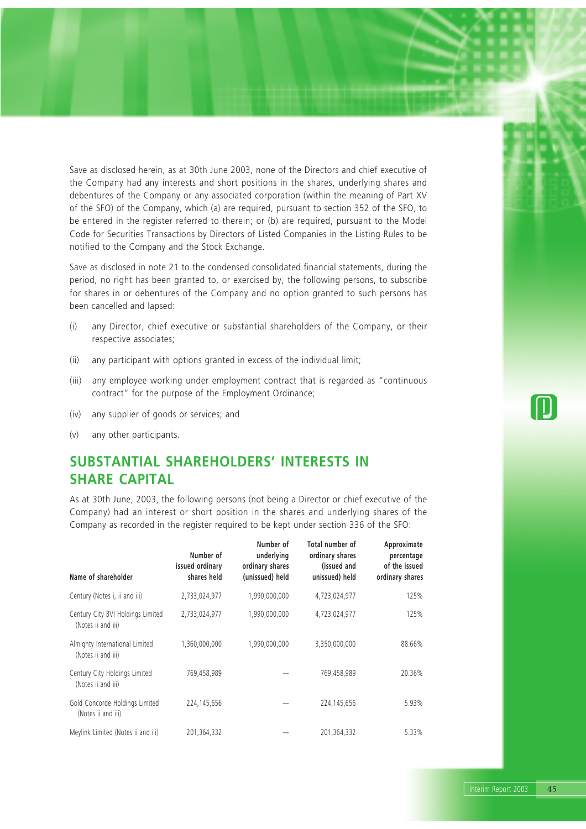Save as disclosed herein, as at 30th June 2003, none of the Directors and chief executive of the Company had any interests and short positions in the shares, underlying shares and debentures of the Company or any associated corporation (within the meaning of Part XV of the SFO) of the Company, which (a) are required, pursuant to section 352 of the SFO, to be entered in the register referred to therein; or (b) are required, pursuant to the Model Code for Securities Transactions by Directors of Listed Companies in the Listing Rules to be notified to the Company and the Stock Exchange.

Save as disclosed in note 21 to the condensed consolidated financial statements, during the period, no right has been granted to, or exercised by, the following persons, to subscribe for shares in or debentures of the Company and no option granted to such persons has been cancelled and lapsed:

- (i) any Director, chief executive or substantial shareholders of the Company, or their respective associates;
- (ii) any participant with options granted in excess of the individual limit;
- (iii) any employee working under employment contract that is regarded as "continuous contract" for the purpose of the Employment Ordinance;
- (iv) any supplier of goods or services; and
- (v) any other participants.

## **SUBSTANTIAL SHAREHOLDERS' INTERESTS IN SHARE CAPITAL**

As at 30th June, 2003, the following persons (not being a Director or chief executive of the Company) had an interest or short position in the shares and underlying shares of the Company as recorded in the register required to be kept under section 336 of the SFO:

| Name of shareholder                                     | Number of<br>issued ordinary<br>shares held | Number of<br>underlying<br>ordinary shares<br>(unissued) held | Total number of<br>ordinary shares<br>(issued and<br>unissued) held | Approximate<br>percentage<br>of the issued<br>ordinary shares |
|---------------------------------------------------------|---------------------------------------------|---------------------------------------------------------------|---------------------------------------------------------------------|---------------------------------------------------------------|
| Century (Notes i, ii and iii)                           | 2,733,024,977                               | 1,990,000,000                                                 | 4,723,024,977                                                       | 125%                                                          |
| Century City BVI Holdings Limited<br>(Notes ii and iii) | 2,733,024,977                               | 1,990,000,000                                                 | 4,723,024,977                                                       | 125%                                                          |
| Almighty International Limited<br>(Notes ii and iii)    | 1,360,000,000                               | 1,990,000,000                                                 | 3,350,000,000                                                       | 88.66%                                                        |
| Century City Holdings Limited<br>(Notes ii and iii)     | 769,458,989                                 |                                                               | 769,458,989                                                         | 20.36%                                                        |
| Gold Concorde Holdings Limited<br>(Notes ii and iii)    | 224,145,656                                 |                                                               | 224, 145, 656                                                       | 5.93%                                                         |
| Meylink Limited (Notes ii and iii)                      | 201,364,332                                 |                                                               | 201,364,332                                                         | 5.33%                                                         |

 $\Box$ 

Interim Report 2003 45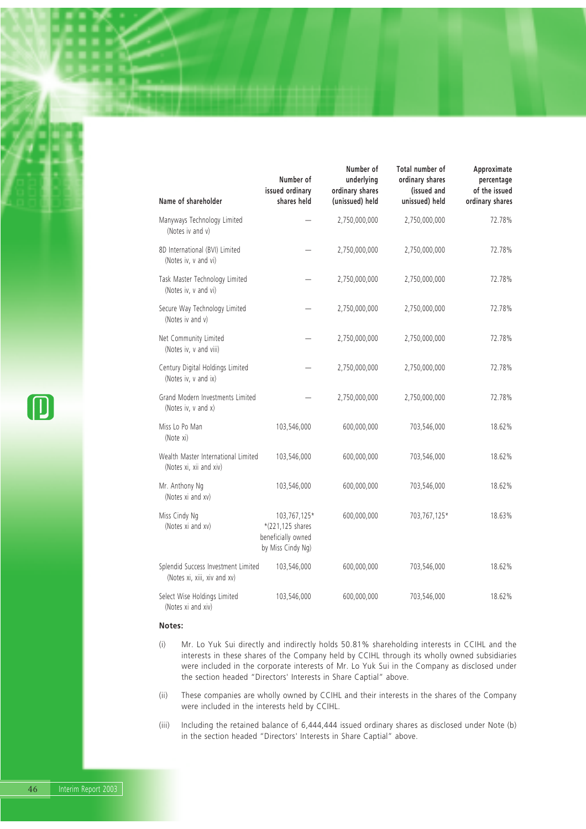| Name of shareholder                                                 | Number of<br>issued ordinary<br>shares held                                 | Number of<br>underlying<br>ordinary shares<br>(unissued) held | <b>Total number of</b><br>ordinary shares<br>(issued and<br>unissued) held | Approximate<br>percentage<br>of the issued<br>ordinary shares |
|---------------------------------------------------------------------|-----------------------------------------------------------------------------|---------------------------------------------------------------|----------------------------------------------------------------------------|---------------------------------------------------------------|
| Manyways Technology Limited<br>(Notes iv and v)                     |                                                                             | 2,750,000,000                                                 | 2,750,000,000                                                              | 72.78%                                                        |
| 8D International (BVI) Limited<br>(Notes iv, v and vi)              |                                                                             | 2,750,000,000                                                 | 2,750,000,000                                                              | 72.78%                                                        |
| Task Master Technology Limited<br>(Notes iv, v and vi)              |                                                                             | 2,750,000,000                                                 | 2,750,000,000                                                              | 72.78%                                                        |
| Secure Way Technology Limited<br>(Notes iv and v)                   |                                                                             | 2,750,000,000                                                 | 2,750,000,000                                                              | 72.78%                                                        |
| Net Community Limited<br>(Notes iv, v and viii)                     |                                                                             | 2,750,000,000                                                 | 2,750,000,000                                                              | 72.78%                                                        |
| Century Digital Holdings Limited<br>(Notes iv, v and ix)            |                                                                             | 2,750,000,000                                                 | 2,750,000,000                                                              | 72.78%                                                        |
| Grand Modern Investments Limited<br>(Notes iv, v and x)             |                                                                             | 2,750,000,000                                                 | 2,750,000,000                                                              | 72.78%                                                        |
| Miss Lo Po Man<br>(Note xi)                                         | 103,546,000                                                                 | 600,000,000                                                   | 703,546,000                                                                | 18.62%                                                        |
| Wealth Master International Limited<br>(Notes xi, xii and xiv)      | 103,546,000                                                                 | 600,000,000                                                   | 703,546,000                                                                | 18.62%                                                        |
| Mr. Anthony Ng<br>(Notes xi and xv)                                 | 103,546,000                                                                 | 600,000,000                                                   | 703,546,000                                                                | 18.62%                                                        |
| Miss Cindy Ng<br>(Notes xi and xv)                                  | 103,767,125*<br>*(221,125 shares<br>beneficially owned<br>by Miss Cindy Ng) | 600,000,000                                                   | 703,767,125*                                                               | 18.63%                                                        |
| Splendid Success Investment Limited<br>(Notes xi, xiii, xiv and xv) | 103,546,000                                                                 | 600,000,000                                                   | 703,546,000                                                                | 18.62%                                                        |
| Select Wise Holdings Limited<br>(Notes xi and xiv)                  | 103,546,000                                                                 | 600,000,000                                                   | 703,546,000                                                                | 18.62%                                                        |

### **Notes:**

- (i) Mr. Lo Yuk Sui directly and indirectly holds 50.81% shareholding interests in CCIHL and the interests in these shares of the Company held by CCIHL through its wholly owned subsidiaries were included in the corporate interests of Mr. Lo Yuk Sui in the Company as disclosed under the section headed "Directors' Interests in Share Captial" above.
- (ii) These companies are wholly owned by CCIHL and their interests in the shares of the Company were included in the interests held by CCIHL.
- (iii) Including the retained balance of 6,444,444 issued ordinary shares as disclosed under Note (b) in the section headed "Directors' Interests in Share Captial" above.

 $\textcolor{blue}{\textbf{\textcolor{blue}{\textbf{\textcolor{blue}{\textbf{\textcolor{blue}{\textbf{\textcolor{blue}{\textbf{\textcolor{blue}{\textbf{\textcolor{blue}{\textbf{\textcolor{blue}{\textbf{\textcolor{blue}{\textbf{\textcolor{blue}{\textbf{\textcolor{blue}{\textbf{\textcolor{blue}{\textbf{\textcolor{blue}{\textbf{\textcolor{blue}{\textbf{\textcolor{blue}{\textbf{\textcolor{blue}{\textbf{\textcolor{blue}{\textbf{\textcolor{blue}{\textbf{\textcolor{blue}{\textbf{\textcolor{blue}{\textbf{\textcolor{blue}{\textbf{\textcolor{blue}{\textbf{\textcolor{blue}{\textbf{\textcolor{blue}{\textbf{\textcolor{$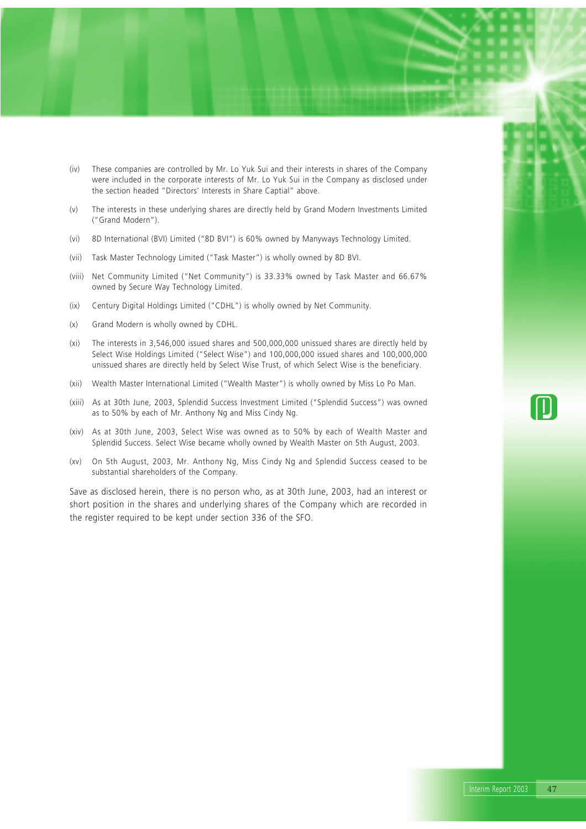- (iv) These companies are controlled by Mr. Lo Yuk Sui and their interests in shares of the Company were included in the corporate interests of Mr. Lo Yuk Sui in the Company as disclosed under the section headed "Directors' Interests in Share Captial" above.
- (v) The interests in these underlying shares are directly held by Grand Modern Investments Limited ("Grand Modern").
- (vi) 8D International (BVI) Limited ("8D BVI") is 60% owned by Manyways Technology Limited.
- (vii) Task Master Technology Limited ("Task Master") is wholly owned by 8D BVI.
- (viii) Net Community Limited ("Net Community") is 33.33% owned by Task Master and 66.67% owned by Secure Way Technology Limited.
- (ix) Century Digital Holdings Limited ("CDHL") is wholly owned by Net Community.
- (x) Grand Modern is wholly owned by CDHL.
- (xi) The interests in 3,546,000 issued shares and 500,000,000 unissued shares are directly held by Select Wise Holdings Limited ("Select Wise") and 100,000,000 issued shares and 100,000,000 unissued shares are directly held by Select Wise Trust, of which Select Wise is the beneficiary.
- (xii) Wealth Master International Limited ("Wealth Master") is wholly owned by Miss Lo Po Man.
- (xiii) As at 30th June, 2003, Splendid Success Investment Limited ("Splendid Success") was owned as to 50% by each of Mr. Anthony Ng and Miss Cindy Ng.
- (xiv) As at 30th June, 2003, Select Wise was owned as to 50% by each of Wealth Master and Splendid Success. Select Wise became wholly owned by Wealth Master on 5th August, 2003.
- (xv) On 5th August, 2003, Mr. Anthony Ng, Miss Cindy Ng and Splendid Success ceased to be substantial shareholders of the Company.

Save as disclosed herein, there is no person who, as at 30th June, 2003, had an interest or short position in the shares and underlying shares of the Company which are recorded in the register required to be kept under section 336 of the SFO.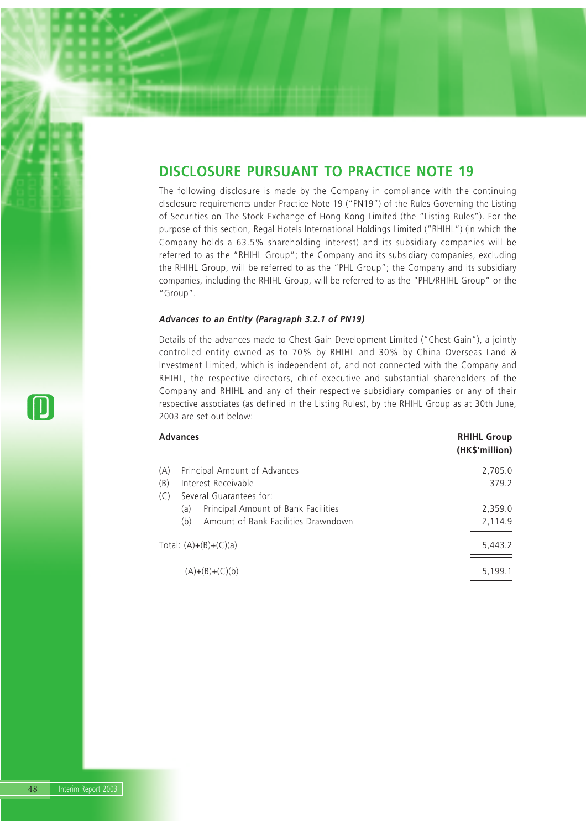## **DISCLOSURE PURSUANT TO PRACTICE NOTE 19**

The following disclosure is made by the Company in compliance with the continuing disclosure requirements under Practice Note 19 ("PN19") of the Rules Governing the Listing of Securities on The Stock Exchange of Hong Kong Limited (the "Listing Rules"). For the purpose of this section, Regal Hotels International Holdings Limited ("RHIHL") (in which the Company holds a 63.5% shareholding interest) and its subsidiary companies will be referred to as the "RHIHL Group"; the Company and its subsidiary companies, excluding the RHIHL Group, will be referred to as the "PHL Group"; the Company and its subsidiary companies, including the RHIHL Group, will be referred to as the "PHL/RHIHL Group" or the "Group".

### *Advances to an Entity (Paragraph 3.2.1 of PN19)*

Details of the advances made to Chest Gain Development Limited ("Chest Gain"), a jointly controlled entity owned as to 70% by RHIHL and 30% by China Overseas Land & Investment Limited, which is independent of, and not connected with the Company and RHIHL, the respective directors, chief executive and substantial shareholders of the Company and RHIHL and any of their respective subsidiary companies or any of their respective associates (as defined in the Listing Rules), by the RHIHL Group as at 30th June, 2003 are set out below:

| <b>Advances</b>                            | <b>RHIHL Group</b><br>(HK\$'million) |
|--------------------------------------------|--------------------------------------|
| Principal Amount of Advances<br>(A)        | 2,705.0                              |
| Interest Receivable<br>(B)                 | 379.2                                |
| (C)<br>Several Guarantees for:             |                                      |
| Principal Amount of Bank Facilities<br>(a) | 2,359.0                              |
| Amount of Bank Facilities Drawndown<br>(b) | 2,114.9                              |
| Total: $(A)+(B)+(C)(a)$                    | 5,443.2                              |
| $(A)+(B)+(C)(b)$                           | 5,199.1                              |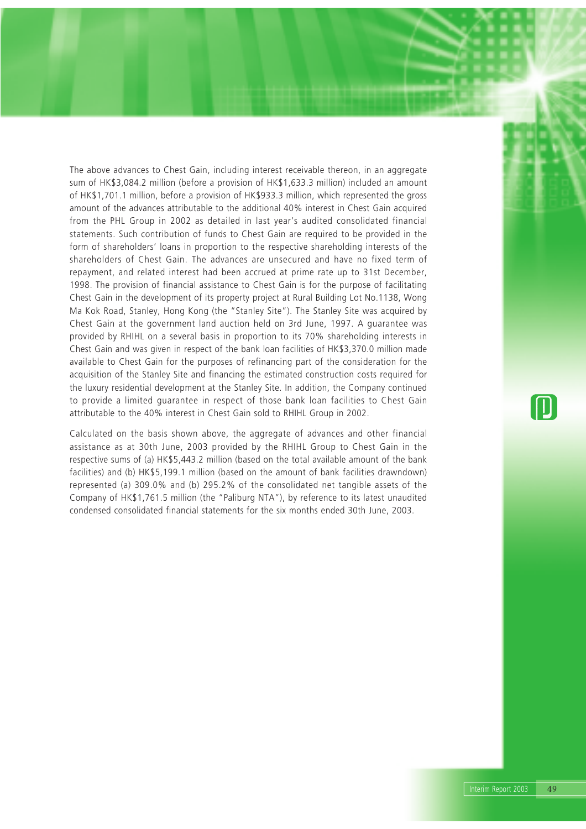The above advances to Chest Gain, including interest receivable thereon, in an aggregate sum of HK\$3,084.2 million (before a provision of HK\$1,633.3 million) included an amount of HK\$1,701.1 million, before a provision of HK\$933.3 million, which represented the gross amount of the advances attributable to the additional 40% interest in Chest Gain acquired from the PHL Group in 2002 as detailed in last year's audited consolidated financial statements. Such contribution of funds to Chest Gain are required to be provided in the form of shareholders' loans in proportion to the respective shareholding interests of the shareholders of Chest Gain. The advances are unsecured and have no fixed term of repayment, and related interest had been accrued at prime rate up to 31st December, 1998. The provision of financial assistance to Chest Gain is for the purpose of facilitating Chest Gain in the development of its property project at Rural Building Lot No.1138, Wong Ma Kok Road, Stanley, Hong Kong (the "Stanley Site"). The Stanley Site was acquired by Chest Gain at the government land auction held on 3rd June, 1997. A guarantee was provided by RHIHL on a several basis in proportion to its 70% shareholding interests in Chest Gain and was given in respect of the bank loan facilities of HK\$3,370.0 million made available to Chest Gain for the purposes of refinancing part of the consideration for the acquisition of the Stanley Site and financing the estimated construction costs required for the luxury residential development at the Stanley Site. In addition, the Company continued to provide a limited guarantee in respect of those bank loan facilities to Chest Gain attributable to the 40% interest in Chest Gain sold to RHIHL Group in 2002.

Calculated on the basis shown above, the aggregate of advances and other financial assistance as at 30th June, 2003 provided by the RHIHL Group to Chest Gain in the respective sums of (a) HK\$5,443.2 million (based on the total available amount of the bank facilities) and (b) HK\$5,199.1 million (based on the amount of bank facilities drawndown) represented (a) 309.0% and (b) 295.2% of the consolidated net tangible assets of the Company of HK\$1,761.5 million (the "Paliburg NTA"), by reference to its latest unaudited condensed consolidated financial statements for the six months ended 30th June, 2003.

 $\Box$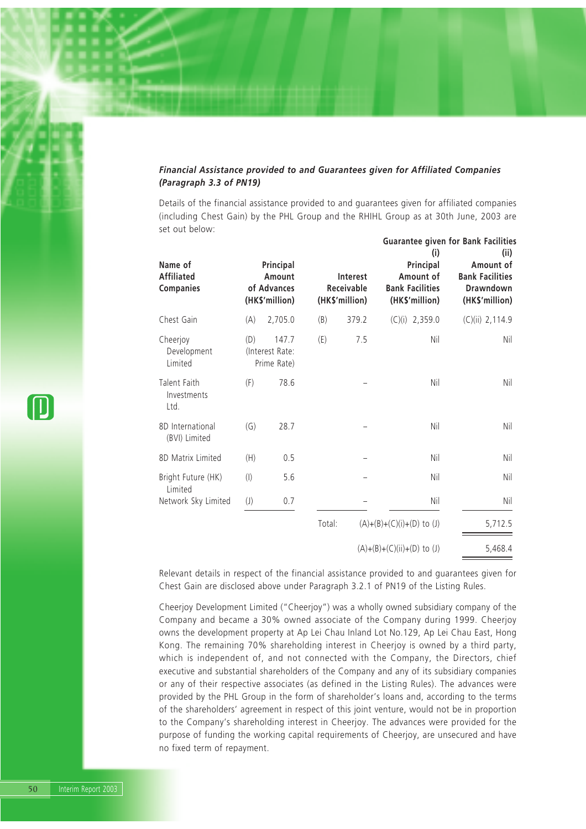## *Financial Assistance provided to and Guarantees given for Affiliated Companies (Paragraph 3.3 of PN19)*

Details of the financial assistance provided to and guarantees given for affiliated companies (including Chest Gain) by the PHL Group and the RHIHL Group as at 30th June, 2003 are set out below:

**Guarantee given for Bank Facilities**

| Name of<br><b>Affiliated</b><br><b>Companies</b> |                            | Principal<br>Amount<br>of Advances<br>(HK\$'million) |        | <b>Interest</b><br>Receivable<br>(HK\$'million) | Guarantee given for bank racinties<br>(i)<br>Principal<br>Amount of<br><b>Bank Facilities</b><br>(HK\$'million) | (ii)<br>Amount of<br><b>Bank Facilities</b><br><b>Drawndown</b><br>(HK\$'million) |
|--------------------------------------------------|----------------------------|------------------------------------------------------|--------|-------------------------------------------------|-----------------------------------------------------------------------------------------------------------------|-----------------------------------------------------------------------------------|
| Chest Gain                                       | (A)                        | 2,705.0                                              | (B)    | 379.2                                           | $(C)(i)$ 2,359.0                                                                                                | $(C)(ii)$ 2,114.9                                                                 |
| Cheerjoy<br>Development<br>Limited               | (D)                        | 147.7<br>(Interest Rate:<br>Prime Rate)              | (E)    | 7.5                                             | Nil                                                                                                             | Nil                                                                               |
| Talent Faith<br>Investments<br>Ltd.              | (F)                        | 78.6                                                 |        |                                                 | Nil                                                                                                             | Nil                                                                               |
| 8D International<br>(BVI) Limited                | (G)                        | 28.7                                                 |        |                                                 | Nil                                                                                                             | Nil                                                                               |
| 8D Matrix Limited                                | (H)                        | 0.5                                                  |        |                                                 | Nil                                                                                                             | Nil                                                                               |
| Bright Future (HK)<br>Limited                    | $($ l $)$                  | 5.6                                                  |        |                                                 | Nil                                                                                                             | Nil                                                                               |
| Network Sky Limited                              | $\left( \mathsf{J}\right)$ | 0.7                                                  |        |                                                 | Nil                                                                                                             | Nil                                                                               |
|                                                  |                            |                                                      | Total: |                                                 | $(A)+(B)+(C)(i)+(D)$ to (J)                                                                                     | 5,712.5                                                                           |
|                                                  |                            |                                                      |        |                                                 | $(A)+(B)+(C)(ii)+(D)$ to (J)                                                                                    | 5,468.4                                                                           |

Relevant details in respect of the financial assistance provided to and guarantees given for Chest Gain are disclosed above under Paragraph 3.2.1 of PN19 of the Listing Rules.

Cheerjoy Development Limited ("Cheerjoy") was a wholly owned subsidiary company of the Company and became a 30% owned associate of the Company during 1999. Cheerjoy owns the development property at Ap Lei Chau Inland Lot No.129, Ap Lei Chau East, Hong Kong. The remaining 70% shareholding interest in Cheerjoy is owned by a third party, which is independent of, and not connected with the Company, the Directors, chief executive and substantial shareholders of the Company and any of its subsidiary companies or any of their respective associates (as defined in the Listing Rules). The advances were provided by the PHL Group in the form of shareholder's loans and, according to the terms of the shareholders' agreement in respect of this joint venture, would not be in proportion to the Company's shareholding interest in Cheerjoy. The advances were provided for the purpose of funding the working capital requirements of Cheerjoy, are unsecured and have no fixed term of repayment.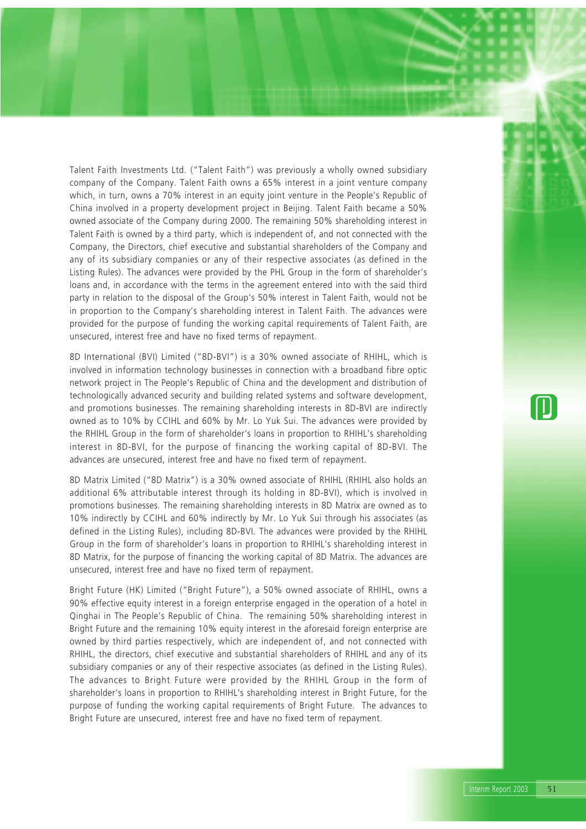Talent Faith Investments Ltd. ("Talent Faith") was previously a wholly owned subsidiary company of the Company. Talent Faith owns a 65% interest in a joint venture company which, in turn, owns a 70% interest in an equity joint venture in the People's Republic of China involved in a property development project in Beijing. Talent Faith became a 50% owned associate of the Company during 2000. The remaining 50% shareholding interest in Talent Faith is owned by a third party, which is independent of, and not connected with the Company, the Directors, chief executive and substantial shareholders of the Company and any of its subsidiary companies or any of their respective associates (as defined in the Listing Rules). The advances were provided by the PHL Group in the form of shareholder's loans and, in accordance with the terms in the agreement entered into with the said third party in relation to the disposal of the Group's 50% interest in Talent Faith, would not be in proportion to the Company's shareholding interest in Talent Faith. The advances were provided for the purpose of funding the working capital requirements of Talent Faith, are unsecured, interest free and have no fixed terms of repayment.

8D International (BVI) Limited ("8D-BVI") is a 30% owned associate of RHIHL, which is involved in information technology businesses in connection with a broadband fibre optic network project in The People's Republic of China and the development and distribution of technologically advanced security and building related systems and software development, and promotions businesses. The remaining shareholding interests in 8D-BVI are indirectly owned as to 10% by CCIHL and 60% by Mr. Lo Yuk Sui. The advances were provided by the RHIHL Group in the form of shareholder's loans in proportion to RHIHL's shareholding interest in 8D-BVI, for the purpose of financing the working capital of 8D-BVI. The advances are unsecured, interest free and have no fixed term of repayment.

8D Matrix Limited ("8D Matrix") is a 30% owned associate of RHIHL (RHIHL also holds an additional 6% attributable interest through its holding in 8D-BVI), which is involved in promotions businesses. The remaining shareholding interests in 8D Matrix are owned as to 10% indirectly by CCIHL and 60% indirectly by Mr. Lo Yuk Sui through his associates (as defined in the Listing Rules), including 8D-BVI. The advances were provided by the RHIHL Group in the form of shareholder's loans in proportion to RHIHL's shareholding interest in 8D Matrix, for the purpose of financing the working capital of 8D Matrix. The advances are unsecured, interest free and have no fixed term of repayment.

Bright Future (HK) Limited ("Bright Future"), a 50% owned associate of RHIHL, owns a 90% effective equity interest in a foreign enterprise engaged in the operation of a hotel in Qinghai in The People's Republic of China. The remaining 50% shareholding interest in Bright Future and the remaining 10% equity interest in the aforesaid foreign enterprise are owned by third parties respectively, which are independent of, and not connected with RHIHL, the directors, chief executive and substantial shareholders of RHIHL and any of its subsidiary companies or any of their respective associates (as defined in the Listing Rules). The advances to Bright Future were provided by the RHIHL Group in the form of shareholder's loans in proportion to RHIHL's shareholding interest in Bright Future, for the purpose of funding the working capital requirements of Bright Future. The advances to Bright Future are unsecured, interest free and have no fixed term of repayment.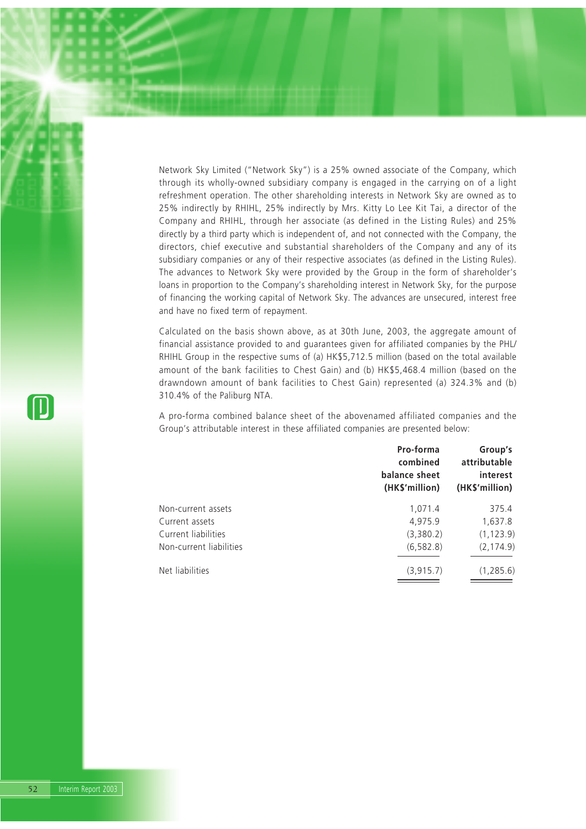Network Sky Limited ("Network Sky") is a 25% owned associate of the Company, which through its wholly-owned subsidiary company is engaged in the carrying on of a light refreshment operation. The other shareholding interests in Network Sky are owned as to 25% indirectly by RHIHL, 25% indirectly by Mrs. Kitty Lo Lee Kit Tai, a director of the Company and RHIHL, through her associate (as defined in the Listing Rules) and 25% directly by a third party which is independent of, and not connected with the Company, the directors, chief executive and substantial shareholders of the Company and any of its subsidiary companies or any of their respective associates (as defined in the Listing Rules). The advances to Network Sky were provided by the Group in the form of shareholder's loans in proportion to the Company's shareholding interest in Network Sky, for the purpose of financing the working capital of Network Sky. The advances are unsecured, interest free and have no fixed term of repayment.

Calculated on the basis shown above, as at 30th June, 2003, the aggregate amount of financial assistance provided to and guarantees given for affiliated companies by the PHL/ RHIHL Group in the respective sums of (a) HK\$5,712.5 million (based on the total available amount of the bank facilities to Chest Gain) and (b) HK\$5,468.4 million (based on the drawndown amount of bank facilities to Chest Gain) represented (a) 324.3% and (b) 310.4% of the Paliburg NTA.

A pro-forma combined balance sheet of the abovenamed affiliated companies and the Group's attributable interest in these affiliated companies are presented below:

|                         | Pro-forma<br>combined<br>balance sheet<br>(HK\$'million) | Group's<br>attributable<br>interest<br>(HK\$'million) |
|-------------------------|----------------------------------------------------------|-------------------------------------------------------|
| Non-current assets      | 1,071.4                                                  | 375.4                                                 |
| Current assets          | 4,975.9                                                  | 1,637.8                                               |
| Current liabilities     | (3,380.2)                                                | (1, 123.9)                                            |
| Non-current liabilities | (6, 582.8)                                               | (2, 174.9)                                            |
| Net liabilities         | (3, 915.7)                                               | (1, 285.6)                                            |

 $\prod$ 

52 Interim Report 2003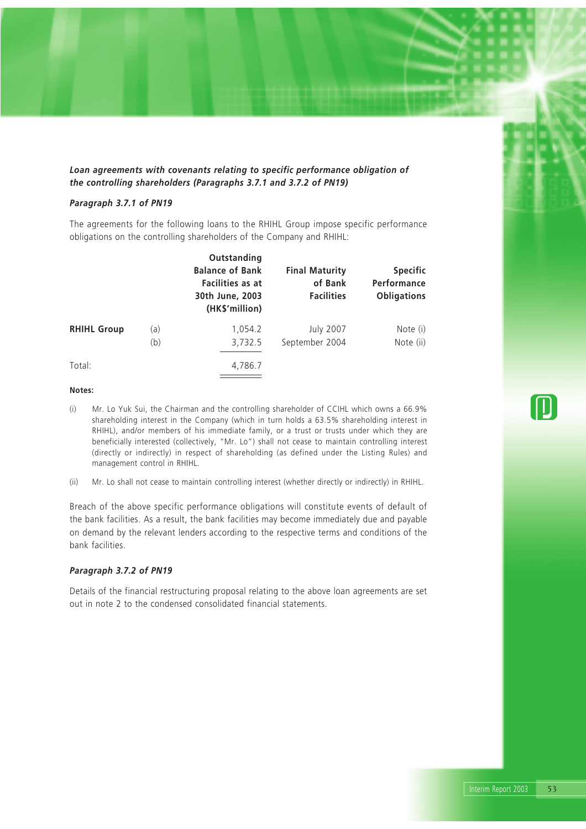*Loan agreements with covenants relating to specific performance obligation of the controlling shareholders (Paragraphs 3.7.1 and 3.7.2 of PN19)*

### *Paragraph 3.7.1 of PN19*

The agreements for the following loans to the RHIHL Group impose specific performance obligations on the controlling shareholders of the Company and RHIHL:

|                    |     | Outstanding<br><b>Balance of Bank</b><br>Facilities as at<br>30th June, 2003<br>(HK\$'million) | <b>Final Maturity</b><br>of Bank<br><b>Facilities</b> | <b>Specific</b><br>Performance<br><b>Obligations</b> |
|--------------------|-----|------------------------------------------------------------------------------------------------|-------------------------------------------------------|------------------------------------------------------|
| <b>RHIHL Group</b> | (a) | 1,054.2                                                                                        | <b>July 2007</b>                                      | Note (i)                                             |
|                    | (b) | 3,732.5                                                                                        | September 2004                                        | Note (ii)                                            |
| Total:             |     | 4,786.7                                                                                        |                                                       |                                                      |

### **Notes:**

- (i) Mr. Lo Yuk Sui, the Chairman and the controlling shareholder of CCIHL which owns a 66.9% shareholding interest in the Company (which in turn holds a 63.5% shareholding interest in RHIHL), and/or members of his immediate family, or a trust or trusts under which they are beneficially interested (collectively, "Mr. Lo") shall not cease to maintain controlling interest (directly or indirectly) in respect of shareholding (as defined under the Listing Rules) and management control in RHIHL.
- (ii) Mr. Lo shall not cease to maintain controlling interest (whether directly or indirectly) in RHIHL.

Breach of the above specific performance obligations will constitute events of default of the bank facilities. As a result, the bank facilities may become immediately due and payable on demand by the relevant lenders according to the respective terms and conditions of the bank facilities.

## *Paragraph 3.7.2 of PN19*

Details of the financial restructuring proposal relating to the above loan agreements are set out in note 2 to the condensed consolidated financial statements.